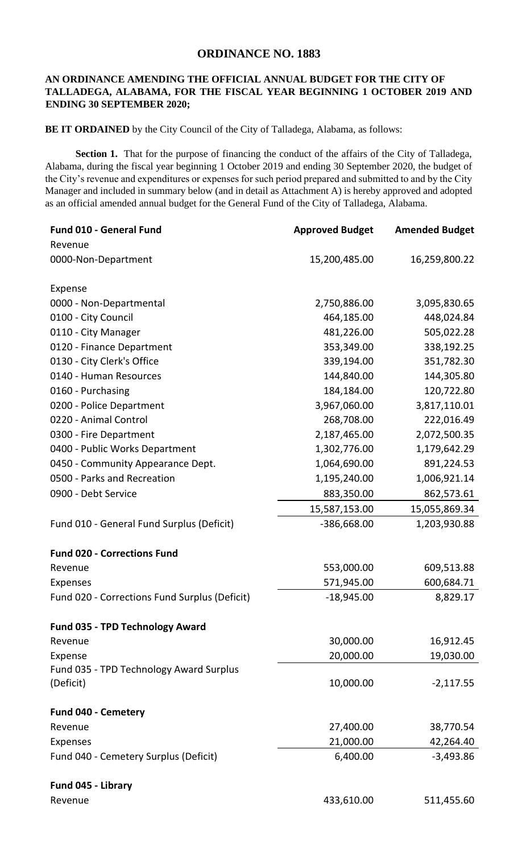## **ORDINANCE NO. 1883**

## **AN ORDINANCE AMENDING THE OFFICIAL ANNUAL BUDGET FOR THE CITY OF TALLADEGA, ALABAMA, FOR THE FISCAL YEAR BEGINNING 1 OCTOBER 2019 AND ENDING 30 SEPTEMBER 2020;**

**BE IT ORDAINED** by the City Council of the City of Talladega, Alabama, as follows:

Section 1. That for the purpose of financing the conduct of the affairs of the City of Talladega, Alabama, during the fiscal year beginning 1 October 2019 and ending 30 September 2020, the budget of the City's revenue and expenditures or expenses for such period prepared and submitted to and by the City Manager and included in summary below (and in detail as Attachment A) is hereby approved and adopted as an official amended annual budget for the General Fund of the City of Talladega, Alabama.

| Fund 010 - General Fund                       | <b>Approved Budget</b> | <b>Amended Budget</b> |
|-----------------------------------------------|------------------------|-----------------------|
| Revenue                                       |                        |                       |
| 0000-Non-Department                           | 15,200,485.00          | 16,259,800.22         |
|                                               |                        |                       |
| Expense                                       |                        |                       |
| 0000 - Non-Departmental                       | 2,750,886.00           | 3,095,830.65          |
| 0100 - City Council                           | 464,185.00             | 448,024.84            |
| 0110 - City Manager                           | 481,226.00             | 505,022.28            |
| 0120 - Finance Department                     | 353,349.00             | 338,192.25            |
| 0130 - City Clerk's Office                    | 339,194.00             | 351,782.30            |
| 0140 - Human Resources                        | 144,840.00             | 144,305.80            |
| 0160 - Purchasing                             | 184,184.00             | 120,722.80            |
| 0200 - Police Department                      | 3,967,060.00           | 3,817,110.01          |
| 0220 - Animal Control                         | 268,708.00             | 222,016.49            |
| 0300 - Fire Department                        | 2,187,465.00           | 2,072,500.35          |
| 0400 - Public Works Department                | 1,302,776.00           | 1,179,642.29          |
| 0450 - Community Appearance Dept.             | 1,064,690.00           | 891,224.53            |
| 0500 - Parks and Recreation                   | 1,195,240.00           | 1,006,921.14          |
| 0900 - Debt Service                           | 883,350.00             | 862,573.61            |
|                                               | 15,587,153.00          | 15,055,869.34         |
| Fund 010 - General Fund Surplus (Deficit)     | -386,668.00            | 1,203,930.88          |
| <b>Fund 020 - Corrections Fund</b>            |                        |                       |
| Revenue                                       | 553,000.00             | 609,513.88            |
| Expenses                                      | 571,945.00             | 600,684.71            |
| Fund 020 - Corrections Fund Surplus (Deficit) | $-18,945.00$           | 8,829.17              |
| <b>Fund 035 - TPD Technology Award</b>        |                        |                       |
| Revenue                                       | 30,000.00              | 16,912.45             |
| Expense                                       | 20,000.00              | 19,030.00             |
| Fund 035 - TPD Technology Award Surplus       |                        |                       |
| (Deficit)                                     | 10,000.00              | $-2,117.55$           |
| Fund 040 - Cemetery                           |                        |                       |
| Revenue                                       | 27,400.00              | 38,770.54             |
| Expenses                                      | 21,000.00              | 42,264.40             |
| Fund 040 - Cemetery Surplus (Deficit)         | 6,400.00               | $-3,493.86$           |
| Fund 045 - Library                            |                        |                       |
| Revenue                                       | 433,610.00             | 511,455.60            |